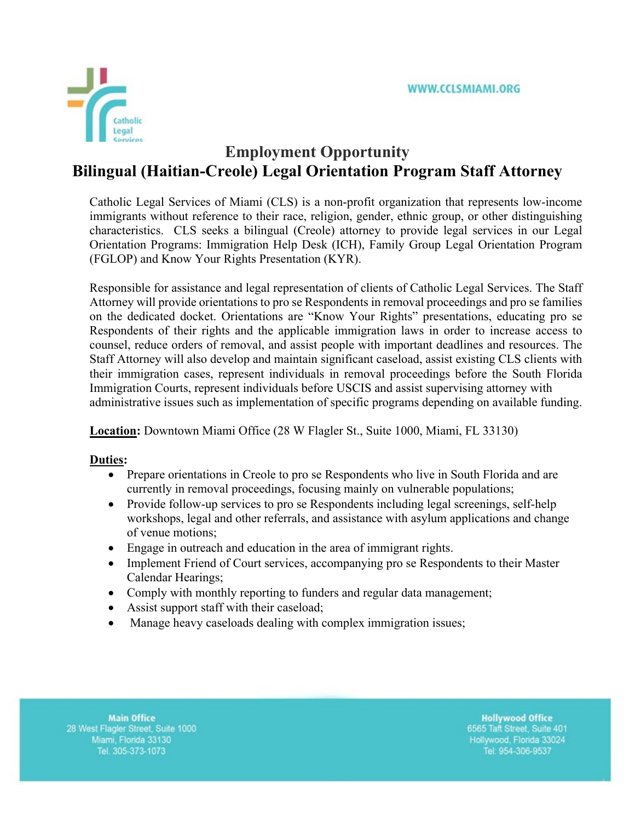

# **Employment Opportunity Bilingual (Haitian-Creole) Legal Orientation Program Staff Attorney**

Catholic Legal Services of Miami (CLS) is a non-profit organization that represents low-income immigrants without reference to their race, religion, gender, ethnic group, or other distinguishing characteristics. CLS seeks a bilingual (Creole) attorney to provide legal services in our Legal Orientation Programs: Immigration Help Desk (ICH), Family Group Legal Orientation Program (FGLOP) and Know Your Rights Presentation (KYR).

Responsible for assistance and legal representation of clients of Catholic Legal Services. The Staff Attorney will provide orientations to pro se Respondents in removal proceedings and pro se families on the dedicated docket. Orientations are "Know Your Rights" presentations, educating pro se Respondents of their rights and the applicable immigration laws in order to increase access to counsel, reduce orders of removal, and assist people with important deadlines and resources. The Staff Attorney will also develop and maintain significant caseload, assist existing CLS clients with their immigration cases, represent individuals in removal proceedings before the South Florida Immigration Courts, represent individuals before USCIS and assist supervising attorney with administrative issues such as implementation of specific programs depending on available funding.

**Location:** Downtown Miami Office (28 W Flagler St., Suite 1000, Miami, FL 33130)

## **Duties:**

- Prepare orientations in Creole to pro se Respondents who live in South Florida and are currently in removal proceedings, focusing mainly on vulnerable populations;
- Provide follow-up services to pro se Respondents including legal screenings, self-help workshops, legal and other referrals, and assistance with asylum applications and change of venue motions;
- Engage in outreach and education in the area of immigrant rights.
- Implement Friend of Court services, accompanying pro se Respondents to their Master Calendar Hearings;
- Comply with monthly reporting to funders and regular data management;
- Assist support staff with their caseload;
- Manage heavy caseloads dealing with complex immigration issues;

**Main Office** 28 West Flagler Street, Suite 1000 Miami, Florida 33130 Tel. 305-373-1073

**Hollywood Office** 6565 Taft Street, Suite 401 Hollywood, Florida 33024 Tel: 954-306-9537